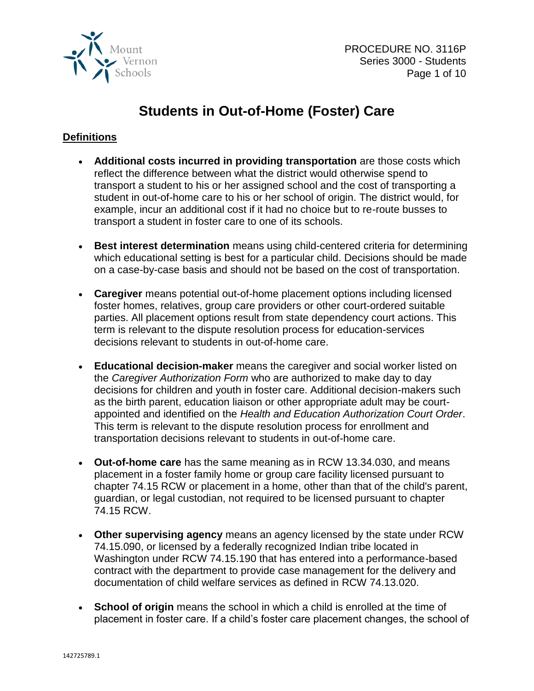

# **Students in Out-of-Home (Foster) Care**

# **Definitions**

- **Additional costs incurred in providing transportation** are those costs which reflect the difference between what the district would otherwise spend to transport a student to his or her assigned school and the cost of transporting a student in out-of-home care to his or her school of origin. The district would, for example, incur an additional cost if it had no choice but to re-route busses to transport a student in foster care to one of its schools.
- **Best interest determination** means using child-centered criteria for determining which educational setting is best for a particular child. Decisions should be made on a case-by-case basis and should not be based on the cost of transportation.
- **Caregiver** means potential out-of-home placement options including licensed foster homes, relatives, group care providers or other court-ordered suitable parties. All placement options result from state dependency court actions. This term is relevant to the dispute resolution process for education-services decisions relevant to students in out-of-home care.
- **Educational decision-maker** means the caregiver and social worker listed on the *Caregiver Authorization Form* who are authorized to make day to day decisions for children and youth in foster care. Additional decision-makers such as the birth parent, education liaison or other appropriate adult may be courtappointed and identified on the *Health and Education Authorization Court Order*. This term is relevant to the dispute resolution process for enrollment and transportation decisions relevant to students in out-of-home care.
- **Out-of-home care** has the same meaning as in RCW 13.34.030, and means placement in a foster family home or group care facility licensed pursuant to chapter 74.15 RCW or placement in a home, other than that of the child's parent, guardian, or legal custodian, not required to be licensed pursuant to chapter 74.15 RCW.
- **Other supervising agency** means an agency licensed by the state under RCW 74.15.090, or licensed by a federally recognized Indian tribe located in Washington under RCW 74.15.190 that has entered into a performance-based contract with the department to provide case management for the delivery and documentation of child welfare services as defined in RCW 74.13.020.
- **School of origin** means the school in which a child is enrolled at the time of placement in foster care. If a child's foster care placement changes, the school of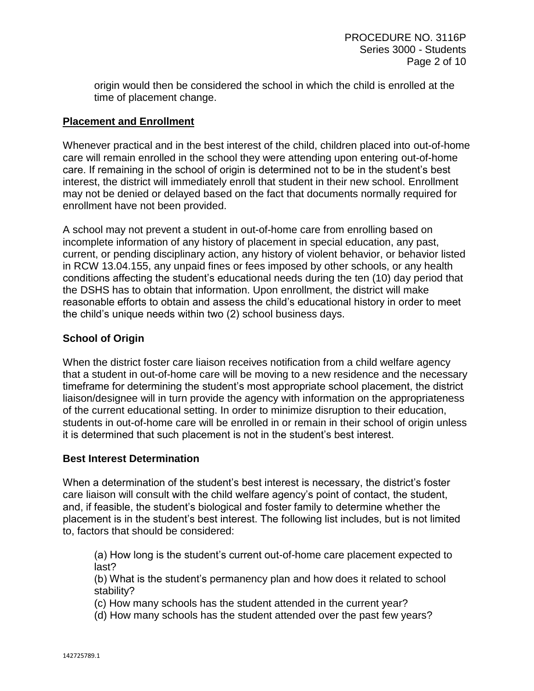origin would then be considered the school in which the child is enrolled at the time of placement change.

## **Placement and Enrollment**

Whenever practical and in the best interest of the child, children placed into out-of-home care will remain enrolled in the school they were attending upon entering out-of-home care. If remaining in the school of origin is determined not to be in the student's best interest, the district will immediately enroll that student in their new school. Enrollment may not be denied or delayed based on the fact that documents normally required for enrollment have not been provided.

A school may not prevent a student in out-of-home care from enrolling based on incomplete information of any history of placement in special education, any past, current, or pending disciplinary action, any history of violent behavior, or behavior listed in RCW 13.04.155, any unpaid fines or fees imposed by other schools, or any health conditions affecting the student's educational needs during the ten (10) day period that the DSHS has to obtain that information. Upon enrollment, the district will make reasonable efforts to obtain and assess the child's educational history in order to meet the child's unique needs within two (2) school business days.

# **School of Origin**

When the district foster care liaison receives notification from a child welfare agency that a student in out-of-home care will be moving to a new residence and the necessary timeframe for determining the student's most appropriate school placement, the district liaison/designee will in turn provide the agency with information on the appropriateness of the current educational setting. In order to minimize disruption to their education, students in out-of-home care will be enrolled in or remain in their school of origin unless it is determined that such placement is not in the student's best interest.

#### **Best Interest Determination**

When a determination of the student's best interest is necessary, the district's foster care liaison will consult with the child welfare agency's point of contact, the student, and, if feasible, the student's biological and foster family to determine whether the placement is in the student's best interest. The following list includes, but is not limited to, factors that should be considered:

(a) How long is the student's current out-of-home care placement expected to last?

(b) What is the student's permanency plan and how does it related to school stability?

(c) How many schools has the student attended in the current year?

(d) How many schools has the student attended over the past few years?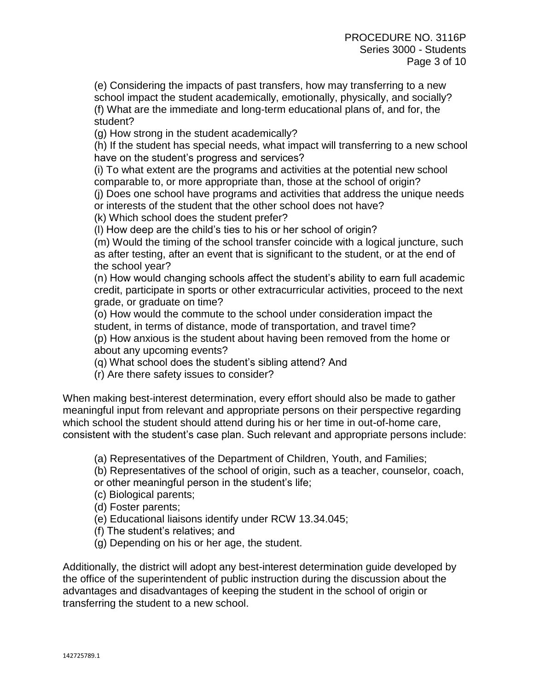(e) Considering the impacts of past transfers, how may transferring to a new school impact the student academically, emotionally, physically, and socially? (f) What are the immediate and long-term educational plans of, and for, the

student?

(g) How strong in the student academically?

(h) If the student has special needs, what impact will transferring to a new school have on the student's progress and services?

(i) To what extent are the programs and activities at the potential new school comparable to, or more appropriate than, those at the school of origin?

(j) Does one school have programs and activities that address the unique needs or interests of the student that the other school does not have?

(k) Which school does the student prefer?

(l) How deep are the child's ties to his or her school of origin?

(m) Would the timing of the school transfer coincide with a logical juncture, such as after testing, after an event that is significant to the student, or at the end of the school year?

(n) How would changing schools affect the student's ability to earn full academic credit, participate in sports or other extracurricular activities, proceed to the next grade, or graduate on time?

(o) How would the commute to the school under consideration impact the student, in terms of distance, mode of transportation, and travel time? (p) How anxious is the student about having been removed from the home or about any upcoming events?

(q) What school does the student's sibling attend? And

(r) Are there safety issues to consider?

When making best-interest determination, every effort should also be made to gather meaningful input from relevant and appropriate persons on their perspective regarding which school the student should attend during his or her time in out-of-home care, consistent with the student's case plan. Such relevant and appropriate persons include:

(a) Representatives of the Department of Children, Youth, and Families;

(b) Representatives of the school of origin, such as a teacher, counselor, coach, or other meaningful person in the student's life;

(c) Biological parents;

(d) Foster parents;

(e) Educational liaisons identify under RCW 13.34.045;

(f) The student's relatives; and

(g) Depending on his or her age, the student.

Additionally, the district will adopt any best-interest determination guide developed by the office of the superintendent of public instruction during the discussion about the advantages and disadvantages of keeping the student in the school of origin or transferring the student to a new school.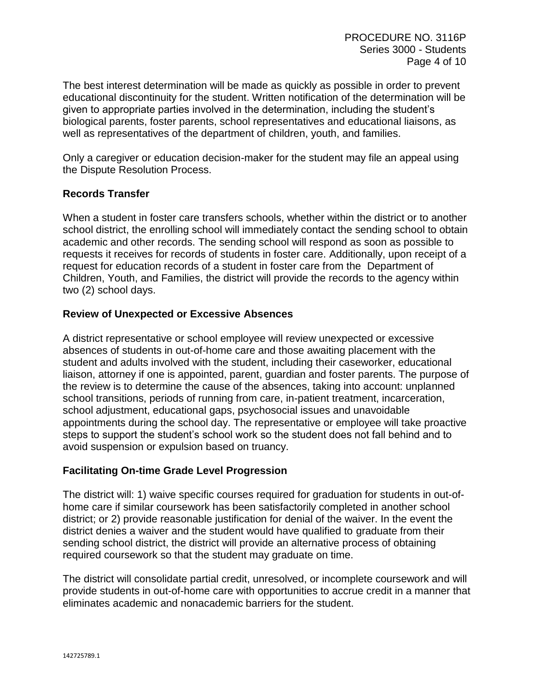The best interest determination will be made as quickly as possible in order to prevent educational discontinuity for the student. Written notification of the determination will be given to appropriate parties involved in the determination, including the student's biological parents, foster parents, school representatives and educational liaisons, as well as representatives of the department of children, youth, and families.

Only a caregiver or education decision-maker for the student may file an appeal using the Dispute Resolution Process.

## **Records Transfer**

When a student in foster care transfers schools, whether within the district or to another school district, the enrolling school will immediately contact the sending school to obtain academic and other records. The sending school will respond as soon as possible to requests it receives for records of students in foster care. Additionally, upon receipt of a request for education records of a student in foster care from the Department of Children, Youth, and Families, the district will provide the records to the agency within two (2) school days.

## **Review of Unexpected or Excessive Absences**

A district representative or school employee will review unexpected or excessive absences of students in out-of-home care and those awaiting placement with the student and adults involved with the student, including their caseworker, educational liaison, attorney if one is appointed, parent, guardian and foster parents. The purpose of the review is to determine the cause of the absences, taking into account: unplanned school transitions, periods of running from care, in-patient treatment, incarceration, school adjustment, educational gaps, psychosocial issues and unavoidable appointments during the school day. The representative or employee will take proactive steps to support the student's school work so the student does not fall behind and to avoid suspension or expulsion based on truancy.

## **Facilitating On-time Grade Level Progression**

The district will: 1) waive specific courses required for graduation for students in out-ofhome care if similar coursework has been satisfactorily completed in another school district; or 2) provide reasonable justification for denial of the waiver. In the event the district denies a waiver and the student would have qualified to graduate from their sending school district, the district will provide an alternative process of obtaining required coursework so that the student may graduate on time.

The district will consolidate partial credit, unresolved, or incomplete coursework and will provide students in out-of-home care with opportunities to accrue credit in a manner that eliminates academic and nonacademic barriers for the student.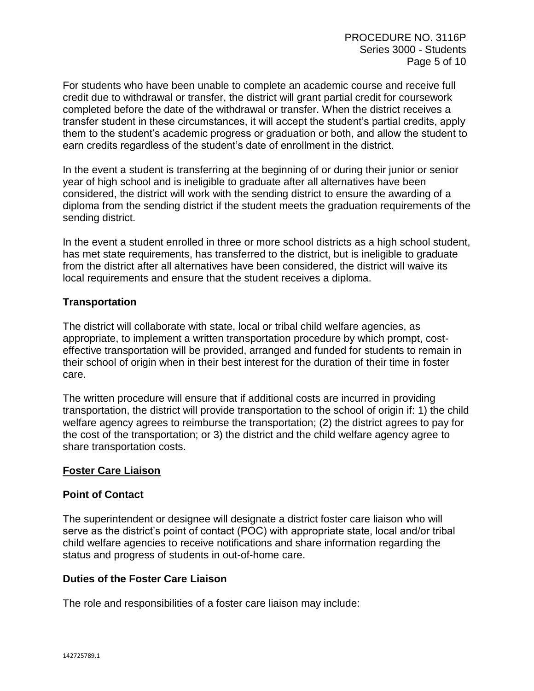For students who have been unable to complete an academic course and receive full credit due to withdrawal or transfer, the district will grant partial credit for coursework completed before the date of the withdrawal or transfer. When the district receives a transfer student in these circumstances, it will accept the student's partial credits, apply them to the student's academic progress or graduation or both, and allow the student to earn credits regardless of the student's date of enrollment in the district.

In the event a student is transferring at the beginning of or during their junior or senior year of high school and is ineligible to graduate after all alternatives have been considered, the district will work with the sending district to ensure the awarding of a diploma from the sending district if the student meets the graduation requirements of the sending district.

In the event a student enrolled in three or more school districts as a high school student, has met state requirements, has transferred to the district, but is ineligible to graduate from the district after all alternatives have been considered, the district will waive its local requirements and ensure that the student receives a diploma.

#### **Transportation**

The district will collaborate with state, local or tribal child welfare agencies, as appropriate, to implement a written transportation procedure by which prompt, costeffective transportation will be provided, arranged and funded for students to remain in their school of origin when in their best interest for the duration of their time in foster care.

The written procedure will ensure that if additional costs are incurred in providing transportation, the district will provide transportation to the school of origin if: 1) the child welfare agency agrees to reimburse the transportation; (2) the district agrees to pay for the cost of the transportation; or 3) the district and the child welfare agency agree to share transportation costs.

## **Foster Care Liaison**

#### **Point of Contact**

The superintendent or designee will designate a district foster care liaison who will serve as the district's point of contact (POC) with appropriate state, local and/or tribal child welfare agencies to receive notifications and share information regarding the status and progress of students in out-of-home care.

#### **Duties of the Foster Care Liaison**

The role and responsibilities of a foster care liaison may include: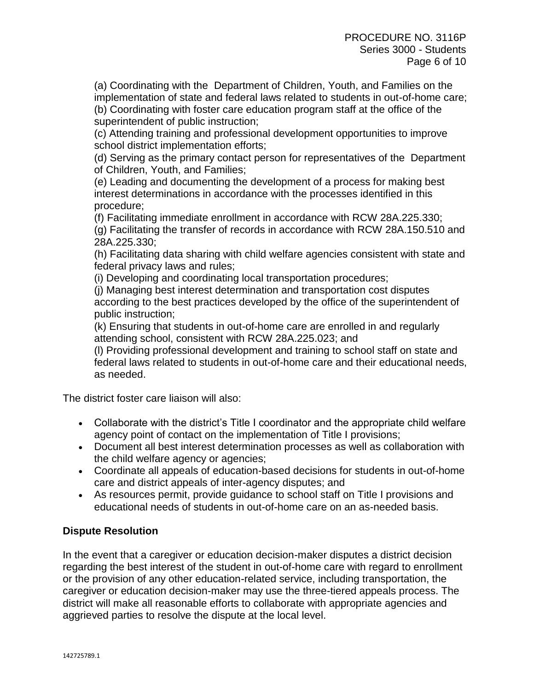(a) Coordinating with the Department of Children, Youth, and Families on the implementation of state and federal laws related to students in out-of-home care;

(b) Coordinating with foster care education program staff at the office of the superintendent of public instruction;

(c) Attending training and professional development opportunities to improve school district implementation efforts;

(d) Serving as the primary contact person for representatives of the Department of Children, Youth, and Families;

(e) Leading and documenting the development of a process for making best interest determinations in accordance with the processes identified in this procedure;

(f) Facilitating immediate enrollment in accordance with RCW 28A.225.330; (g) Facilitating the transfer of records in accordance with RCW 28A.150.510 and 28A.225.330;

(h) Facilitating data sharing with child welfare agencies consistent with state and federal privacy laws and rules;

(i) Developing and coordinating local transportation procedures;

(j) Managing best interest determination and transportation cost disputes according to the best practices developed by the office of the superintendent of public instruction;

(k) Ensuring that students in out-of-home care are enrolled in and regularly attending school, consistent with RCW 28A.225.023; and

(l) Providing professional development and training to school staff on state and federal laws related to students in out-of-home care and their educational needs, as needed.

The district foster care liaison will also:

- Collaborate with the district's Title I coordinator and the appropriate child welfare agency point of contact on the implementation of Title I provisions;
- Document all best interest determination processes as well as collaboration with the child welfare agency or agencies;
- Coordinate all appeals of education-based decisions for students in out-of-home care and district appeals of inter-agency disputes; and
- As resources permit, provide guidance to school staff on Title I provisions and educational needs of students in out-of-home care on an as-needed basis.

# **Dispute Resolution**

In the event that a caregiver or education decision-maker disputes a district decision regarding the best interest of the student in out-of-home care with regard to enrollment or the provision of any other education-related service, including transportation, the caregiver or education decision-maker may use the three-tiered appeals process. The district will make all reasonable efforts to collaborate with appropriate agencies and aggrieved parties to resolve the dispute at the local level.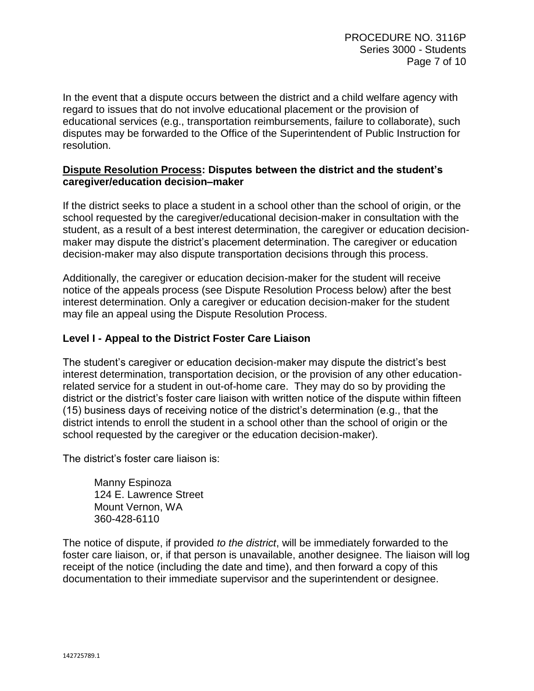In the event that a dispute occurs between the district and a child welfare agency with regard to issues that do not involve educational placement or the provision of educational services (e.g., transportation reimbursements, failure to collaborate), such disputes may be forwarded to the Office of the Superintendent of Public Instruction for resolution.

#### **Dispute Resolution Process: Disputes between the district and the student's caregiver/education decision–maker**

If the district seeks to place a student in a school other than the school of origin, or the school requested by the caregiver/educational decision-maker in consultation with the student, as a result of a best interest determination, the caregiver or education decisionmaker may dispute the district's placement determination. The caregiver or education decision-maker may also dispute transportation decisions through this process.

Additionally, the caregiver or education decision-maker for the student will receive notice of the appeals process (see Dispute Resolution Process below) after the best interest determination. Only a caregiver or education decision-maker for the student may file an appeal using the Dispute Resolution Process.

# **Level I - Appeal to the District Foster Care Liaison**

The student's caregiver or education decision-maker may dispute the district's best interest determination, transportation decision, or the provision of any other educationrelated service for a student in out-of-home care. They may do so by providing the district or the district's foster care liaison with written notice of the dispute within fifteen (15) business days of receiving notice of the district's determination (e.g., that the district intends to enroll the student in a school other than the school of origin or the school requested by the caregiver or the education decision-maker).

The district's foster care liaison is:

Manny Espinoza 124 E. Lawrence Street Mount Vernon, WA 360-428-6110

The notice of dispute, if provided *to the district*, will be immediately forwarded to the foster care liaison, or, if that person is unavailable, another designee. The liaison will log receipt of the notice (including the date and time), and then forward a copy of this documentation to their immediate supervisor and the superintendent or designee.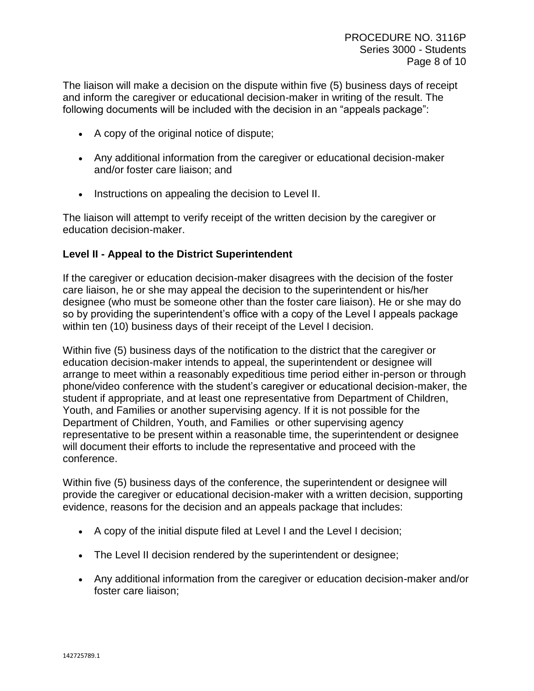The liaison will make a decision on the dispute within five (5) business days of receipt and inform the caregiver or educational decision-maker in writing of the result. The following documents will be included with the decision in an "appeals package":

- A copy of the original notice of dispute;
- Any additional information from the caregiver or educational decision-maker and/or foster care liaison; and
- Instructions on appealing the decision to Level II.

The liaison will attempt to verify receipt of the written decision by the caregiver or education decision-maker.

# **Level II - Appeal to the District Superintendent**

If the caregiver or education decision-maker disagrees with the decision of the foster care liaison, he or she may appeal the decision to the superintendent or his/her designee (who must be someone other than the foster care liaison). He or she may do so by providing the superintendent's office with a copy of the Level I appeals package within ten (10) business days of their receipt of the Level I decision.

Within five (5) business days of the notification to the district that the caregiver or education decision-maker intends to appeal, the superintendent or designee will arrange to meet within a reasonably expeditious time period either in-person or through phone/video conference with the student's caregiver or educational decision-maker, the student if appropriate, and at least one representative from Department of Children, Youth, and Families or another supervising agency. If it is not possible for the Department of Children, Youth, and Families or other supervising agency representative to be present within a reasonable time, the superintendent or designee will document their efforts to include the representative and proceed with the conference.

Within five (5) business days of the conference, the superintendent or designee will provide the caregiver or educational decision-maker with a written decision, supporting evidence, reasons for the decision and an appeals package that includes:

- A copy of the initial dispute filed at Level I and the Level I decision;
- The Level II decision rendered by the superintendent or designee;
- Any additional information from the caregiver or education decision-maker and/or foster care liaison;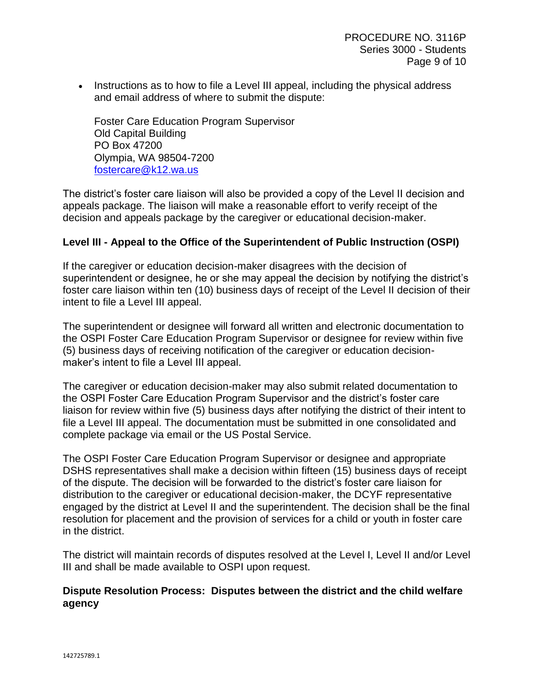• Instructions as to how to file a Level III appeal, including the physical address and email address of where to submit the dispute:

Foster Care Education Program Supervisor Old Capital Building PO Box 47200 Olympia, WA 98504-7200 [fostercare@k12.wa.us](mailto:fostercare@k12.wa.us)

The district's foster care liaison will also be provided a copy of the Level II decision and appeals package. The liaison will make a reasonable effort to verify receipt of the decision and appeals package by the caregiver or educational decision-maker.

#### **Level III - Appeal to the Office of the Superintendent of Public Instruction (OSPI)**

If the caregiver or education decision-maker disagrees with the decision of superintendent or designee, he or she may appeal the decision by notifying the district's foster care liaison within ten (10) business days of receipt of the Level II decision of their intent to file a Level III appeal.

The superintendent or designee will forward all written and electronic documentation to the OSPI Foster Care Education Program Supervisor or designee for review within five (5) business days of receiving notification of the caregiver or education decisionmaker's intent to file a Level III appeal.

The caregiver or education decision-maker may also submit related documentation to the OSPI Foster Care Education Program Supervisor and the district's foster care liaison for review within five (5) business days after notifying the district of their intent to file a Level III appeal. The documentation must be submitted in one consolidated and complete package via email or the US Postal Service.

The OSPI Foster Care Education Program Supervisor or designee and appropriate DSHS representatives shall make a decision within fifteen (15) business days of receipt of the dispute. The decision will be forwarded to the district's foster care liaison for distribution to the caregiver or educational decision-maker, the DCYF representative engaged by the district at Level II and the superintendent. The decision shall be the final resolution for placement and the provision of services for a child or youth in foster care in the district.

The district will maintain records of disputes resolved at the Level I, Level II and/or Level III and shall be made available to OSPI upon request.

#### **Dispute Resolution Process: Disputes between the district and the child welfare agency**